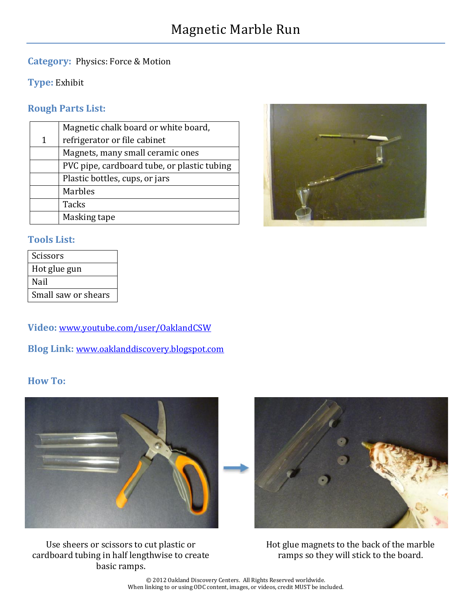#### **Category:** Physics: Force & Motion

**Type:** Exhibit

### **Rough Parts List:**

| Magnetic chalk board or white board,        |
|---------------------------------------------|
| refrigerator or file cabinet                |
| Magnets, many small ceramic ones            |
| PVC pipe, cardboard tube, or plastic tubing |
| Plastic bottles, cups, or jars              |
| <b>Marbles</b>                              |
| <b>Tacks</b>                                |
| Masking tape                                |
|                                             |



#### **Tools List:**

| Scissors            |
|---------------------|
| Hot glue gun        |
| Nail                |
| Small saw or shears |

**Video:** [www.youtube.com/user/OaklandCSW](http://www.youtube.com/user/OaklandCSW)

**Blog Link:** [www.oaklanddiscovery.blogspot.com](http://www.oaklanddiscovery.blogspot.com/)

### **How To:**



Use sheers or scissors to cut plastic or cardboard tubing in half lengthwise to create basic ramps.



Hot glue magnets to the back of the marble ramps so they will stick to the board.

© 2012 Oakland Discovery Centers. All Rights Reserved worldwide. When linking to or using ODC content, images, or videos, credit MUST be included.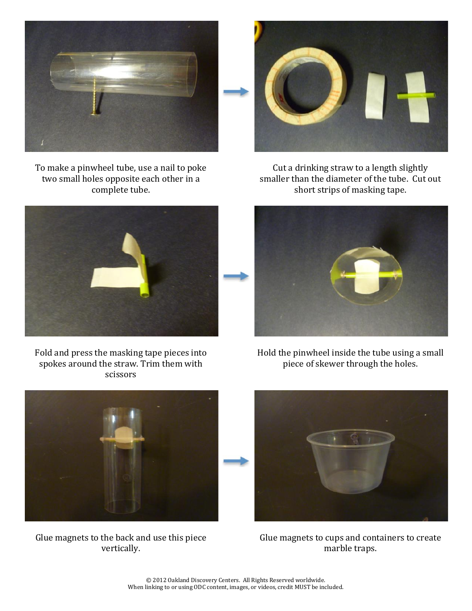

To make a pinwheel tube, use a nail to poke two small holes opposite each other in a complete tube.



Cut a drinking straw to a length slightly smaller than the diameter of the tube. Cut out short strips of masking tape.



Fold and press the masking tape pieces into spokes around the straw. Trim them with scissors



Hold the pinwheel inside the tube using a small piece of skewer through the holes.



Glue magnets to the back and use this piece vertically.



Glue magnets to cups and containers to create marble traps.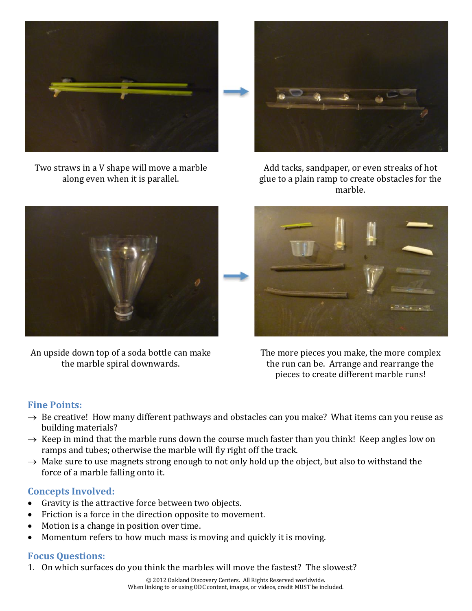

Two straws in a V shape will move a marble along even when it is parallel.



Add tacks, sandpaper, or even streaks of hot glue to a plain ramp to create obstacles for the marble.



An upside down top of a soda bottle can make the marble spiral downwards.



The more pieces you make, the more complex the run can be. Arrange and rearrange the pieces to create different marble runs!

# **Fine Points:**

- $\rightarrow$  Be creative! How many different pathways and obstacles can you make? What items can you reuse as building materials?
- $\rightarrow$  Keep in mind that the marble runs down the course much faster than you think! Keep angles low on ramps and tubes; otherwise the marble will fly right off the track.
- $\rightarrow$  Make sure to use magnets strong enough to not only hold up the object, but also to withstand the force of a marble falling onto it.

### **Concepts Involved:**

- Gravity is the attractive force between two objects.
- Friction is a force in the direction opposite to movement.
- Motion is a change in position over time.
- Momentum refers to how much mass is moving and quickly it is moving.

### **Focus Questions:**

1. On which surfaces do you think the marbles will move the fastest? The slowest?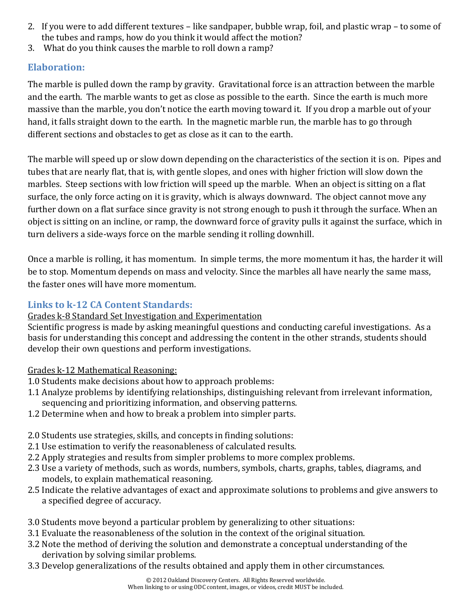- 2. If you were to add different textures like sandpaper, bubble wrap, foil, and plastic wrap to some of the tubes and ramps, how do you think it would affect the motion?
- 3. What do you think causes the marble to roll down a ramp?

# **Elaboration:**

The marble is pulled down the ramp by gravity. Gravitational force is an attraction between the marble and the earth. The marble wants to get as close as possible to the earth. Since the earth is much more massive than the marble, you don't notice the earth moving toward it. If you drop a marble out of your hand, it falls straight down to the earth. In the magnetic marble run, the marble has to go through different sections and obstacles to get as close as it can to the earth.

The marble will speed up or slow down depending on the characteristics of the section it is on. Pipes and tubes that are nearly flat, that is, with gentle slopes, and ones with higher friction will slow down the marbles. Steep sections with low friction will speed up the marble. When an object is sitting on a flat surface, the only force acting on it is gravity, which is always downward. The object cannot move any further down on a flat surface since gravity is not strong enough to push it through the surface. When an object is sitting on an incline, or ramp, the downward force of gravity pulls it against the surface, which in turn delivers a side-ways force on the marble sending it rolling downhill.

Once a marble is rolling, it has momentum. In simple terms, the more momentum it has, the harder it will be to stop. Momentum depends on mass and velocity. Since the marbles all have nearly the same mass, the faster ones will have more momentum.

# **Links to k-12 CA Content Standards:**

### Grades k-8 Standard Set Investigation and Experimentation

Scientific progress is made by asking meaningful questions and conducting careful investigations. As a basis for understanding this concept and addressing the content in the other strands, students should develop their own questions and perform investigations.

# Grades k-12 Mathematical Reasoning:

- 1.0 Students make decisions about how to approach problems:
- 1.1 Analyze problems by identifying relationships, distinguishing relevant from irrelevant information, sequencing and prioritizing information, and observing patterns.
- 1.2 Determine when and how to break a problem into simpler parts.
- 2.0 Students use strategies, skills, and concepts in finding solutions:
- 2.1 Use estimation to verify the reasonableness of calculated results.
- 2.2 Apply strategies and results from simpler problems to more complex problems.
- 2.3 Use a variety of methods, such as words, numbers, symbols, charts, graphs, tables, diagrams, and models, to explain mathematical reasoning.
- 2.5 Indicate the relative advantages of exact and approximate solutions to problems and give answers to a specified degree of accuracy.
- 3.0 Students move beyond a particular problem by generalizing to other situations:
- 3.1 Evaluate the reasonableness of the solution in the context of the original situation.
- 3.2 Note the method of deriving the solution and demonstrate a conceptual understanding of the derivation by solving similar problems.
- 3.3 Develop generalizations of the results obtained and apply them in other circumstances.